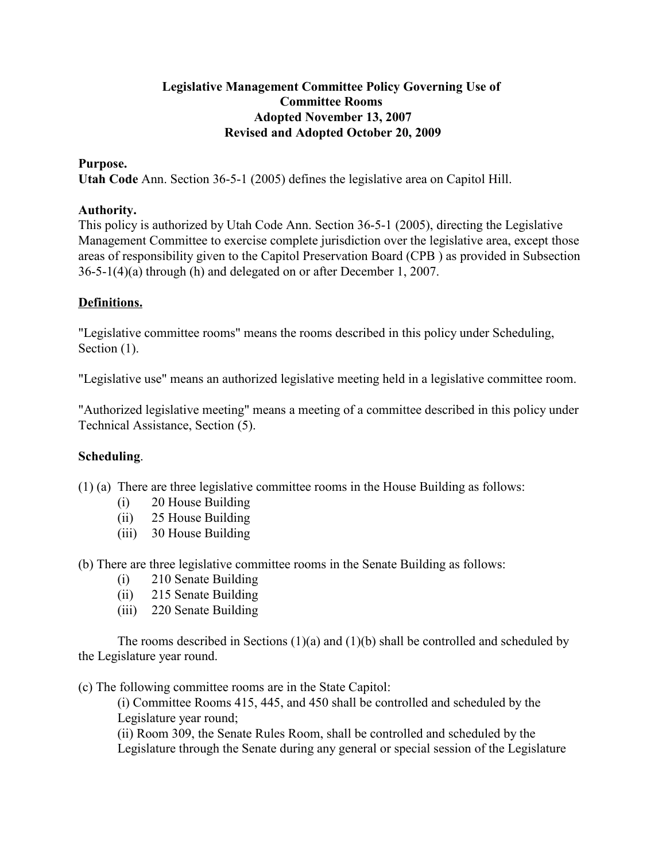#### Legislative Management Committee Policy Governing Use of Committee Rooms Adopted November 13, 2007 Revised and Adopted October 20, 2009

#### Purpose.

Utah Code Ann. Section 36-5-1 (2005) defines the legislative area on Capitol Hill.

#### Authority.

This policy is authorized by Utah Code Ann. Section 36-5-1 (2005), directing the Legislative Management Committee to exercise complete jurisdiction over the legislative area, except those areas of responsibility given to the Capitol Preservation Board (CPB ) as provided in Subsection 36-5-1(4)(a) through (h) and delegated on or after December 1, 2007.

### Definitions.

"Legislative committee rooms" means the rooms described in this policy under Scheduling, Section  $(1)$ .

"Legislative use" means an authorized legislative meeting held in a legislative committee room.

"Authorized legislative meeting" means a meeting of a committee described in this policy under Technical Assistance, Section (5).

### Scheduling.

(1) (a) There are three legislative committee rooms in the House Building as follows:

- (i) 20 House Building
- (ii) 25 House Building
- (iii) 30 House Building

(b) There are three legislative committee rooms in the Senate Building as follows:

- (i) 210 Senate Building
- (ii) 215 Senate Building
- (iii) 220 Senate Building

The rooms described in Sections  $(1)(a)$  and  $(1)(b)$  shall be controlled and scheduled by the Legislature year round.

(c) The following committee rooms are in the State Capitol:

(i) Committee Rooms 415, 445, and 450 shall be controlled and scheduled by the Legislature year round;

(ii) Room 309, the Senate Rules Room, shall be controlled and scheduled by the Legislature through the Senate during any general or special session of the Legislature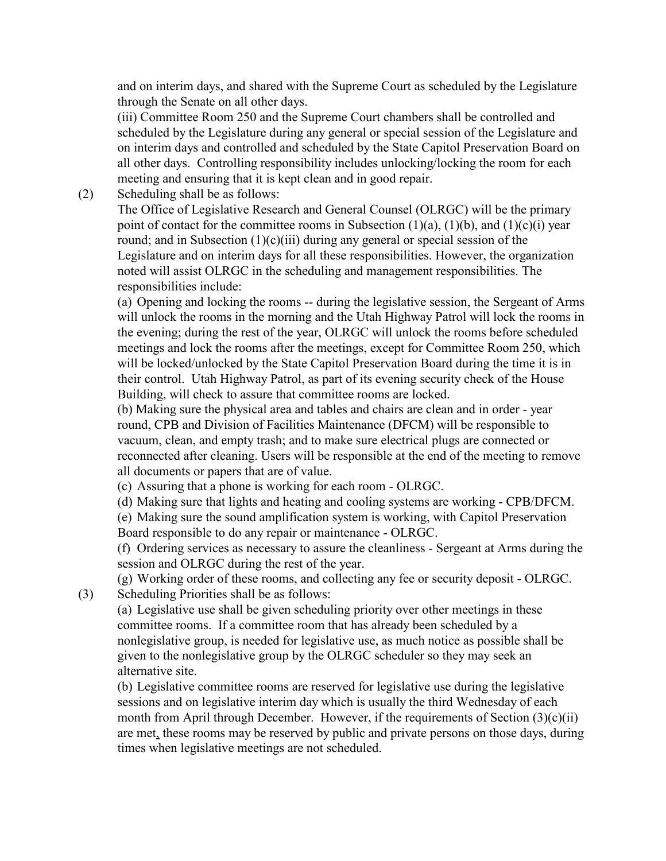and on interim days, and shared with the Supreme Court as scheduled by the Legislature through the Senate on all other days.

(iii) Committee Room 250 and the Supreme Court chambers shall be controlled and scheduled by the Legislature during any general or special session of the Legislature and on interim days and controlled and scheduled by the State Capitol Preservation Board on all other days. Controlling responsibility includes unlocking/locking the room for each meeting and ensuring that it is kept clean and in good repair.

(2) Scheduling shall be as follows:

The Office of Legislative Research and General Counsel (OLRGC) will be the primary point of contact for the committee rooms in Subsection  $(1)(a)$ ,  $(1)(b)$ , and  $(1)(c)(i)$  year round; and in Subsection  $(1)(c)(iii)$  during any general or special session of the Legislature and on interim days for all these responsibilities. However, the organization noted will assist OLRGC in the scheduling and management responsibilities. The responsibilities include:

(a) Opening and locking the rooms -- during the legislative session, the Sergeant of Arms will unlock the rooms in the morning and the Utah Highway Patrol will lock the rooms in the evening; during the rest of the year, OLRGC will unlock the rooms before scheduled meetings and lock the rooms after the meetings, except for Committee Room 250, which will be locked/unlocked by the State Capitol Preservation Board during the time it is in their control. Utah Highway Patrol, as part of its evening security check of the House Building, will check to assure that committee rooms are locked.

(b) Making sure the physical area and tables and chairs are clean and in order - year round, CPB and Division of Facilities Maintenance (DFCM) will be responsible to vacuum, clean, and empty trash; and to make sure electrical plugs are connected or reconnected after cleaning. Users will be responsible at the end of the meeting to remove all documents or papers that are of value.

(c) Assuring that a phone is working for each room - OLRGC.

(d) Making sure that lights and heating and cooling systems are working - CPB/DFCM.

(e) Making sure the sound amplification system is working, with Capitol Preservation Board responsible to do any repair or maintenance - OLRGC.

(f) Ordering services as necessary to assure the cleanliness - Sergeant at Arms during the session and OLRGC during the rest of the year.

(g) Working order of these rooms, and collecting any fee or security deposit - OLRGC. (3) Scheduling Priorities shall be as follows:

(a) Legislative use shall be given scheduling priority over other meetings in these committee rooms. If a committee room that has already been scheduled by a nonlegislative group, is needed for legislative use, as much notice as possible shall be given to the nonlegislative group by the OLRGC scheduler so they may seek an alternative site.

(b) Legislative committee rooms are reserved for legislative use during the legislative sessions and on legislative interim day which is usually the third Wednesday of each month from April through December. However, if the requirements of Section  $(3)(c)(ii)$ are met, these rooms may be reserved by public and private persons on those days, during times when legislative meetings are not scheduled.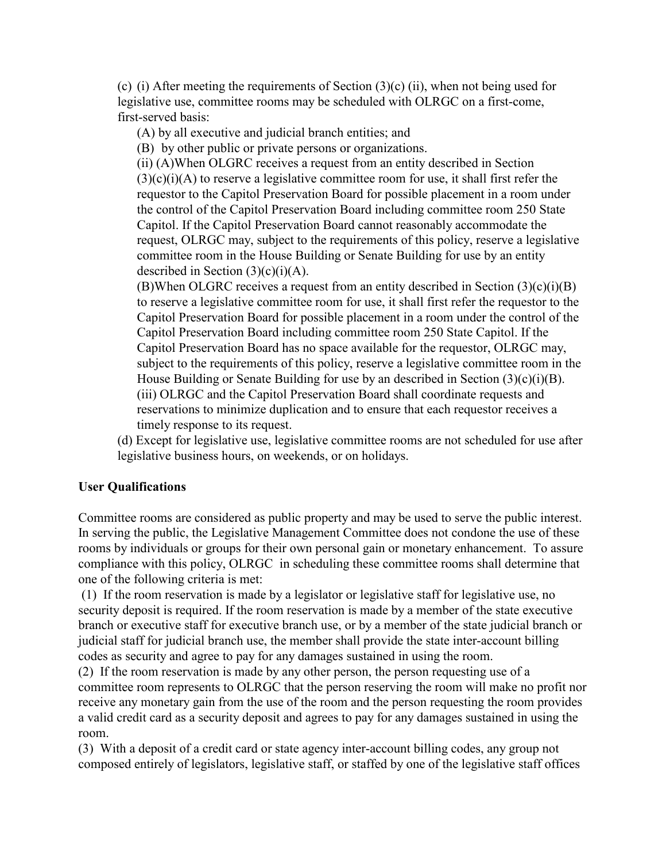(c) (i) After meeting the requirements of Section  $(3)(c)$  (ii), when not being used for legislative use, committee rooms may be scheduled with OLRGC on a first-come, first-served basis:

(A) by all executive and judicial branch entities; and

(B) by other public or private persons or organizations.

(ii) (A)When OLGRC receives a request from an entity described in Section  $(3)(c)(i)(A)$  to reserve a legislative committee room for use, it shall first refer the requestor to the Capitol Preservation Board for possible placement in a room under the control of the Capitol Preservation Board including committee room 250 State Capitol. If the Capitol Preservation Board cannot reasonably accommodate the request, OLRGC may, subject to the requirements of this policy, reserve a legislative committee room in the House Building or Senate Building for use by an entity described in Section  $(3)(c)(i)(A)$ .

(B)When OLGRC receives a request from an entity described in Section  $(3)(c)(i)(B)$ to reserve a legislative committee room for use, it shall first refer the requestor to the Capitol Preservation Board for possible placement in a room under the control of the Capitol Preservation Board including committee room 250 State Capitol. If the Capitol Preservation Board has no space available for the requestor, OLRGC may, subject to the requirements of this policy, reserve a legislative committee room in the House Building or Senate Building for use by an described in Section  $(3)(c)(i)(B)$ . (iii) OLRGC and the Capitol Preservation Board shall coordinate requests and reservations to minimize duplication and to ensure that each requestor receives a timely response to its request.

(d) Except for legislative use, legislative committee rooms are not scheduled for use after legislative business hours, on weekends, or on holidays.

### User Qualifications

Committee rooms are considered as public property and may be used to serve the public interest. In serving the public, the Legislative Management Committee does not condone the use of these rooms by individuals or groups for their own personal gain or monetary enhancement. To assure compliance with this policy, OLRGC in scheduling these committee rooms shall determine that one of the following criteria is met:

 (1) If the room reservation is made by a legislator or legislative staff for legislative use, no security deposit is required. If the room reservation is made by a member of the state executive branch or executive staff for executive branch use, or by a member of the state judicial branch or judicial staff for judicial branch use, the member shall provide the state inter-account billing codes as security and agree to pay for any damages sustained in using the room.

(2) If the room reservation is made by any other person, the person requesting use of a committee room represents to OLRGC that the person reserving the room will make no profit nor receive any monetary gain from the use of the room and the person requesting the room provides a valid credit card as a security deposit and agrees to pay for any damages sustained in using the room.

(3) With a deposit of a credit card or state agency inter-account billing codes, any group not composed entirely of legislators, legislative staff, or staffed by one of the legislative staff offices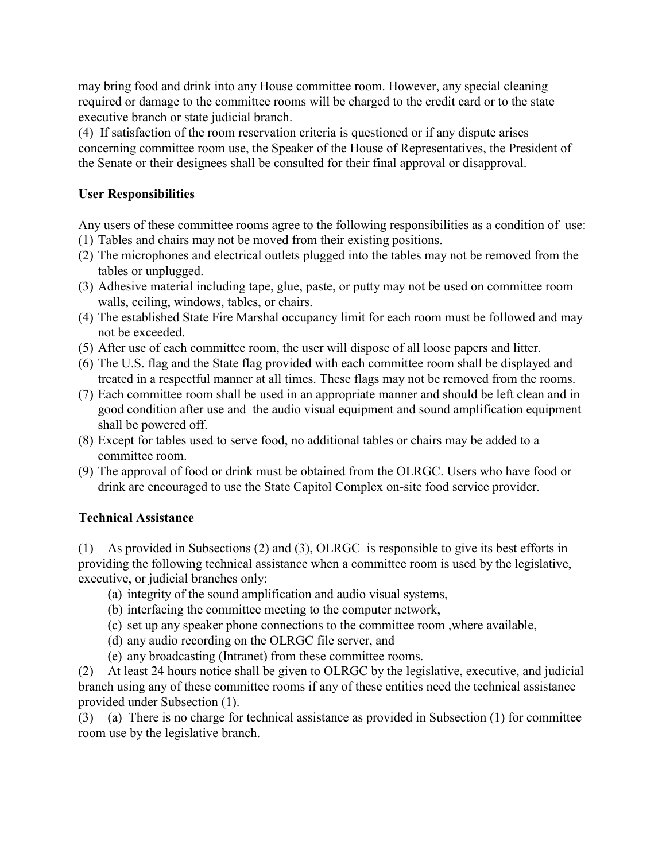may bring food and drink into any House committee room. However, any special cleaning required or damage to the committee rooms will be charged to the credit card or to the state executive branch or state judicial branch.

(4) If satisfaction of the room reservation criteria is questioned or if any dispute arises concerning committee room use, the Speaker of the House of Representatives, the President of the Senate or their designees shall be consulted for their final approval or disapproval.

### User Responsibilities

Any users of these committee rooms agree to the following responsibilities as a condition of use:

- (1) Tables and chairs may not be moved from their existing positions.
- (2) The microphones and electrical outlets plugged into the tables may not be removed from the tables or unplugged.
- (3) Adhesive material including tape, glue, paste, or putty may not be used on committee room walls, ceiling, windows, tables, or chairs.
- (4) The established State Fire Marshal occupancy limit for each room must be followed and may not be exceeded.
- (5) After use of each committee room, the user will dispose of all loose papers and litter.
- (6) The U.S. flag and the State flag provided with each committee room shall be displayed and treated in a respectful manner at all times. These flags may not be removed from the rooms.
- (7) Each committee room shall be used in an appropriate manner and should be left clean and in good condition after use and the audio visual equipment and sound amplification equipment shall be powered off.
- (8) Except for tables used to serve food, no additional tables or chairs may be added to a committee room.
- (9) The approval of food or drink must be obtained from the OLRGC. Users who have food or drink are encouraged to use the State Capitol Complex on-site food service provider.

### Technical Assistance

(1) As provided in Subsections (2) and (3), OLRGC is responsible to give its best efforts in providing the following technical assistance when a committee room is used by the legislative, executive, or judicial branches only:

- (a) integrity of the sound amplification and audio visual systems,
- (b) interfacing the committee meeting to the computer network,
- (c) set up any speaker phone connections to the committee room ,where available,
- (d) any audio recording on the OLRGC file server, and
- (e) any broadcasting (Intranet) from these committee rooms.

(2) At least 24 hours notice shall be given to OLRGC by the legislative, executive, and judicial branch using any of these committee rooms if any of these entities need the technical assistance provided under Subsection (1).

(3) (a) There is no charge for technical assistance as provided in Subsection (1) for committee room use by the legislative branch.